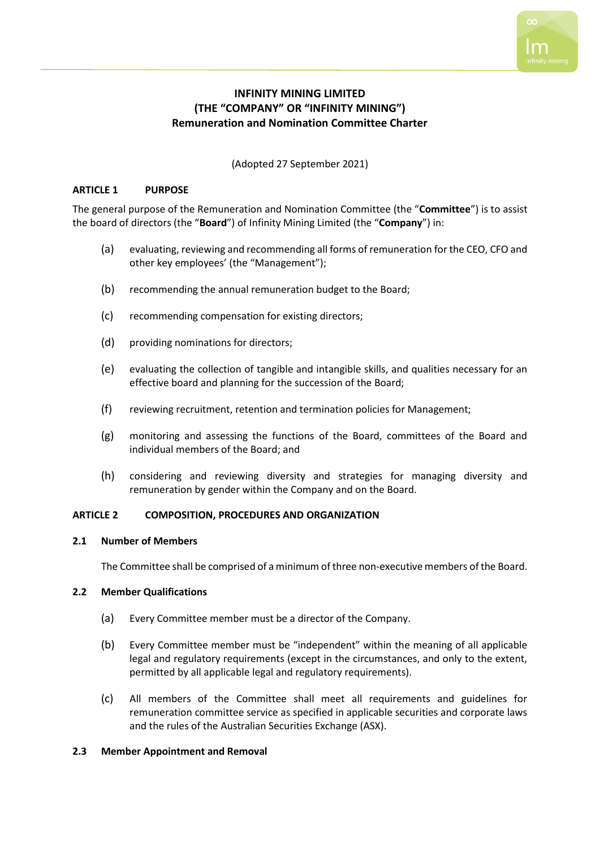# **INFINITY MINING LIMITED (THE "COMPANY" OR "INFINITY MINING") Remuneration and Nomination Committee Charter**

(Adopted 27 September 2021)

## **ARTICLE 1 PURPOSE**

The general purpose of the Remuneration and Nomination Committee (the "**Committee**") is to assist the board of directors (the "**Board**") of Infinity Mining Limited (the "**Company**") in:

- (a) evaluating, reviewing and recommending all forms of remuneration for the CEO, CFO and other key employees' (the "Management");
- (b) recommending the annual remuneration budget to the Board;
- (c) recommending compensation for existing directors;
- (d) providing nominations for directors;
- (e) evaluating the collection of tangible and intangible skills, and qualities necessary for an effective board and planning for the succession of the Board;
- (f) reviewing recruitment, retention and termination policies for Management;
- (g) monitoring and assessing the functions of the Board, committees of the Board and individual members of the Board; and
- (h) considering and reviewing diversity and strategies for managing diversity and remuneration by gender within the Company and on the Board.

## **ARTICLE 2 COMPOSITION, PROCEDURES AND ORGANIZATION**

## **2.1 Number of Members**

The Committee shall be comprised of a minimum of three non-executive members of the Board.

# **2.2 Member Qualifications**

- (a) Every Committee member must be a director of the Company.
- (b) Every Committee member must be "independent" within the meaning of all applicable legal and regulatory requirements (except in the circumstances, and only to the extent, permitted by all applicable legal and regulatory requirements).
- (c) All members of the Committee shall meet all requirements and guidelines for remuneration committee service as specified in applicable securities and corporate laws and the rules of the Australian Securities Exchange (ASX).

## **2.3 Member Appointment and Removal**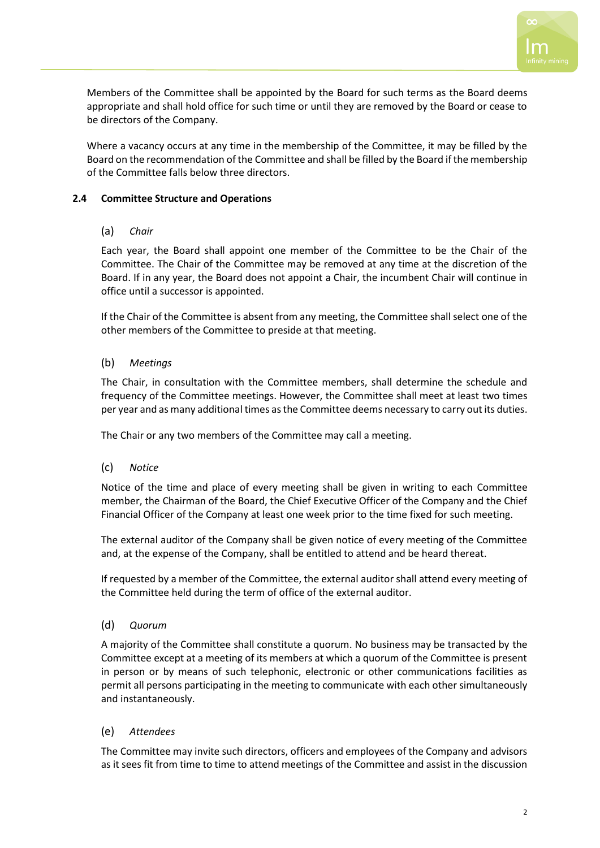

Members of the Committee shall be appointed by the Board for such terms as the Board deems appropriate and shall hold office for such time or until they are removed by the Board or cease to be directors of the Company.

Where a vacancy occurs at any time in the membership of the Committee, it may be filled by the Board on the recommendation of the Committee and shall be filled by the Board if the membership of the Committee falls below three directors.

# **2.4 Committee Structure and Operations**

# (a) *Chair*

Each year, the Board shall appoint one member of the Committee to be the Chair of the Committee. The Chair of the Committee may be removed at any time at the discretion of the Board. If in any year, the Board does not appoint a Chair, the incumbent Chair will continue in office until a successor is appointed.

If the Chair of the Committee is absent from any meeting, the Committee shall select one of the other members of the Committee to preside at that meeting.

# (b) *Meetings*

The Chair, in consultation with the Committee members, shall determine the schedule and frequency of the Committee meetings. However, the Committee shall meet at least two times per year and as many additional times as the Committee deems necessary to carry out its duties.

The Chair or any two members of the Committee may call a meeting.

## (c) *Notice*

Notice of the time and place of every meeting shall be given in writing to each Committee member, the Chairman of the Board, the Chief Executive Officer of the Company and the Chief Financial Officer of the Company at least one week prior to the time fixed for such meeting.

The external auditor of the Company shall be given notice of every meeting of the Committee and, at the expense of the Company, shall be entitled to attend and be heard thereat.

If requested by a member of the Committee, the external auditor shall attend every meeting of the Committee held during the term of office of the external auditor.

## (d) *Quorum*

A majority of the Committee shall constitute a quorum. No business may be transacted by the Committee except at a meeting of its members at which a quorum of the Committee is present in person or by means of such telephonic, electronic or other communications facilities as permit all persons participating in the meeting to communicate with each other simultaneously and instantaneously.

## (e) *Attendees*

The Committee may invite such directors, officers and employees of the Company and advisors as it sees fit from time to time to attend meetings of the Committee and assist in the discussion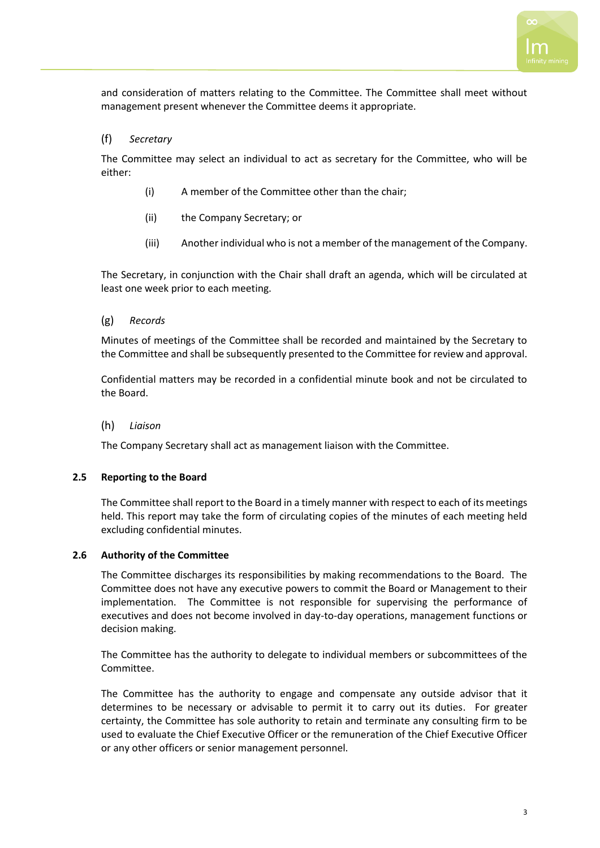and consideration of matters relating to the Committee. The Committee shall meet without management present whenever the Committee deems it appropriate.

# (f) *Secretary*

The Committee may select an individual to act as secretary for the Committee, who will be either:

- (i) A member of the Committee other than the chair;
- (ii) the Company Secretary; or
- (iii) Another individual who is not a member of the management of the Company.

The Secretary, in conjunction with the Chair shall draft an agenda, which will be circulated at least one week prior to each meeting.

## (g) *Records*

Minutes of meetings of the Committee shall be recorded and maintained by the Secretary to the Committee and shall be subsequently presented to the Committee for review and approval.

Confidential matters may be recorded in a confidential minute book and not be circulated to the Board.

## (h) *Liaison*

The Company Secretary shall act as management liaison with the Committee.

## **2.5 Reporting to the Board**

The Committee shall report to the Board in a timely manner with respect to each of its meetings held. This report may take the form of circulating copies of the minutes of each meeting held excluding confidential minutes.

## **2.6 Authority of the Committee**

The Committee discharges its responsibilities by making recommendations to the Board. The Committee does not have any executive powers to commit the Board or Management to their implementation. The Committee is not responsible for supervising the performance of executives and does not become involved in day-to-day operations, management functions or decision making.

The Committee has the authority to delegate to individual members or subcommittees of the Committee.

The Committee has the authority to engage and compensate any outside advisor that it determines to be necessary or advisable to permit it to carry out its duties. For greater certainty, the Committee has sole authority to retain and terminate any consulting firm to be used to evaluate the Chief Executive Officer or the remuneration of the Chief Executive Officer or any other officers or senior management personnel.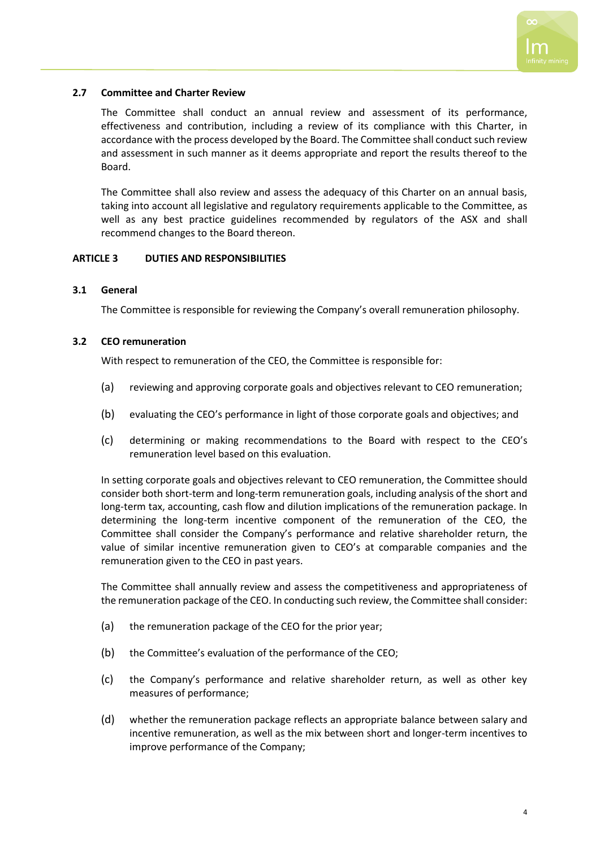# **2.7 Committee and Charter Review**

The Committee shall conduct an annual review and assessment of its performance, effectiveness and contribution, including a review of its compliance with this Charter, in accordance with the process developed by the Board. The Committee shall conduct such review and assessment in such manner as it deems appropriate and report the results thereof to the Board.

The Committee shall also review and assess the adequacy of this Charter on an annual basis, taking into account all legislative and regulatory requirements applicable to the Committee, as well as any best practice guidelines recommended by regulators of the ASX and shall recommend changes to the Board thereon.

# **ARTICLE 3 DUTIES AND RESPONSIBILITIES**

# **3.1 General**

The Committee is responsible for reviewing the Company's overall remuneration philosophy.

# **3.2 CEO remuneration**

With respect to remuneration of the CEO, the Committee is responsible for:

- (a) reviewing and approving corporate goals and objectives relevant to CEO remuneration;
- (b) evaluating the CEO's performance in light of those corporate goals and objectives; and
- (c) determining or making recommendations to the Board with respect to the CEO's remuneration level based on this evaluation.

In setting corporate goals and objectives relevant to CEO remuneration, the Committee should consider both short-term and long-term remuneration goals, including analysis of the short and long-term tax, accounting, cash flow and dilution implications of the remuneration package. In determining the long-term incentive component of the remuneration of the CEO, the Committee shall consider the Company's performance and relative shareholder return, the value of similar incentive remuneration given to CEO's at comparable companies and the remuneration given to the CEO in past years.

The Committee shall annually review and assess the competitiveness and appropriateness of the remuneration package of the CEO. In conducting such review, the Committee shall consider:

- (a) the remuneration package of the CEO for the prior year;
- (b) the Committee's evaluation of the performance of the CEO;
- (c) the Company's performance and relative shareholder return, as well as other key measures of performance;
- (d) whether the remuneration package reflects an appropriate balance between salary and incentive remuneration, as well as the mix between short and longer-term incentives to improve performance of the Company;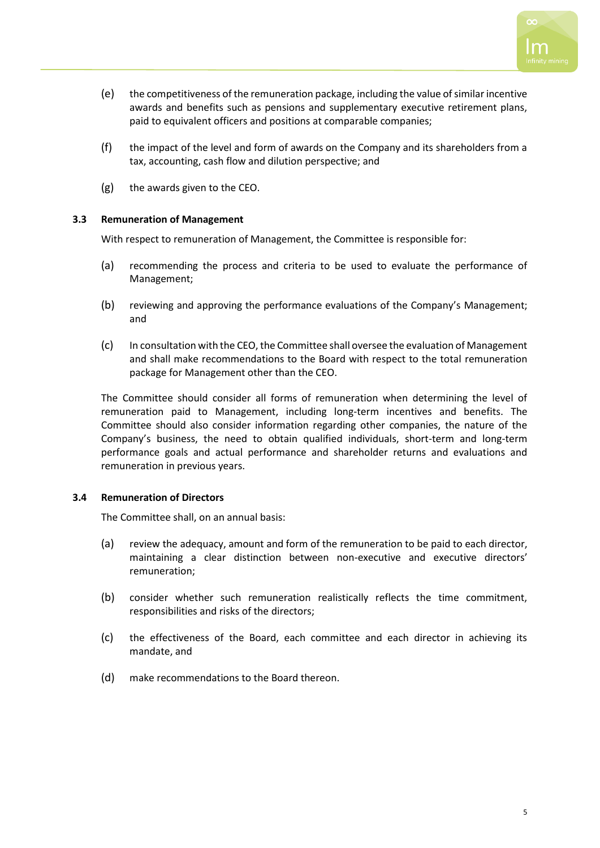- (e) the competitiveness of the remuneration package, including the value of similar incentive awards and benefits such as pensions and supplementary executive retirement plans, paid to equivalent officers and positions at comparable companies;
- (f) the impact of the level and form of awards on the Company and its shareholders from a tax, accounting, cash flow and dilution perspective; and
- (g) the awards given to the CEO.

# **3.3 Remuneration of Management**

With respect to remuneration of Management, the Committee is responsible for:

- (a) recommending the process and criteria to be used to evaluate the performance of Management;
- (b) reviewing and approving the performance evaluations of the Company's Management; and
- (c) In consultation with the CEO, the Committee shall oversee the evaluation of Management and shall make recommendations to the Board with respect to the total remuneration package for Management other than the CEO.

The Committee should consider all forms of remuneration when determining the level of remuneration paid to Management, including long-term incentives and benefits. The Committee should also consider information regarding other companies, the nature of the Company's business, the need to obtain qualified individuals, short-term and long-term performance goals and actual performance and shareholder returns and evaluations and remuneration in previous years.

## **3.4 Remuneration of Directors**

The Committee shall, on an annual basis:

- (a) review the adequacy, amount and form of the remuneration to be paid to each director, maintaining a clear distinction between non-executive and executive directors' remuneration;
- (b) consider whether such remuneration realistically reflects the time commitment, responsibilities and risks of the directors;
- (c) the effectiveness of the Board, each committee and each director in achieving its mandate, and
- (d) make recommendations to the Board thereon.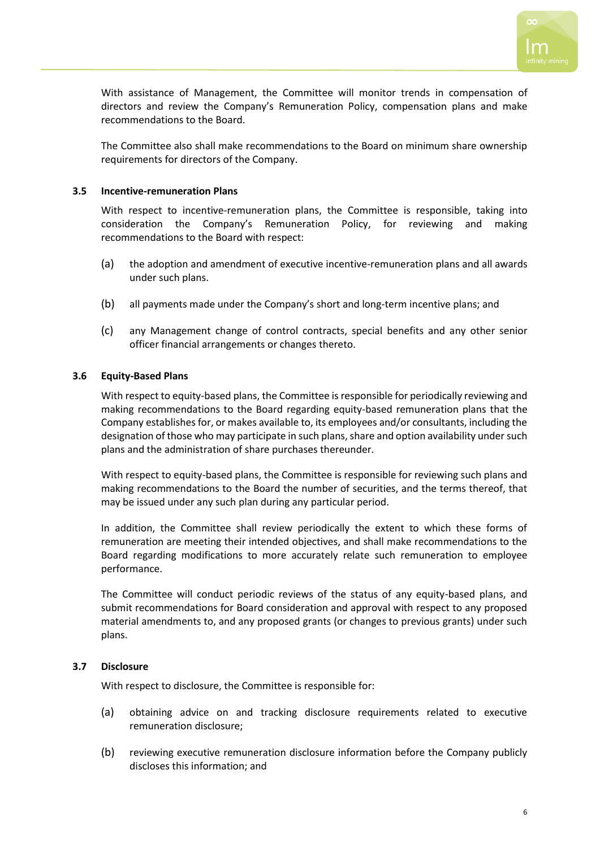

With assistance of Management, the Committee will monitor trends in compensation of directors and review the Company's Remuneration Policy, compensation plans and make recommendations to the Board.

The Committee also shall make recommendations to the Board on minimum share ownership requirements for directors of the Company.

## **3.5 Incentive-remuneration Plans**

With respect to incentive-remuneration plans, the Committee is responsible, taking into consideration the Company's Remuneration Policy, for reviewing and making recommendations to the Board with respect:

- (a) the adoption and amendment of executive incentive-remuneration plans and all awards under such plans.
- (b) all payments made under the Company's short and long-term incentive plans; and
- (c) any Management change of control contracts, special benefits and any other senior officer financial arrangements or changes thereto.

# **3.6 Equity-Based Plans**

With respect to equity-based plans, the Committee is responsible for periodically reviewing and making recommendations to the Board regarding equity-based remuneration plans that the Company establishes for, or makes available to, its employees and/or consultants, including the designation of those who may participate in such plans, share and option availability under such plans and the administration of share purchases thereunder.

With respect to equity-based plans, the Committee is responsible for reviewing such plans and making recommendations to the Board the number of securities, and the terms thereof, that may be issued under any such plan during any particular period.

In addition, the Committee shall review periodically the extent to which these forms of remuneration are meeting their intended objectives, and shall make recommendations to the Board regarding modifications to more accurately relate such remuneration to employee performance.

The Committee will conduct periodic reviews of the status of any equity-based plans, and submit recommendations for Board consideration and approval with respect to any proposed material amendments to, and any proposed grants (or changes to previous grants) under such plans.

# **3.7 Disclosure**

With respect to disclosure, the Committee is responsible for:

- (a) obtaining advice on and tracking disclosure requirements related to executive remuneration disclosure;
- (b) reviewing executive remuneration disclosure information before the Company publicly discloses this information; and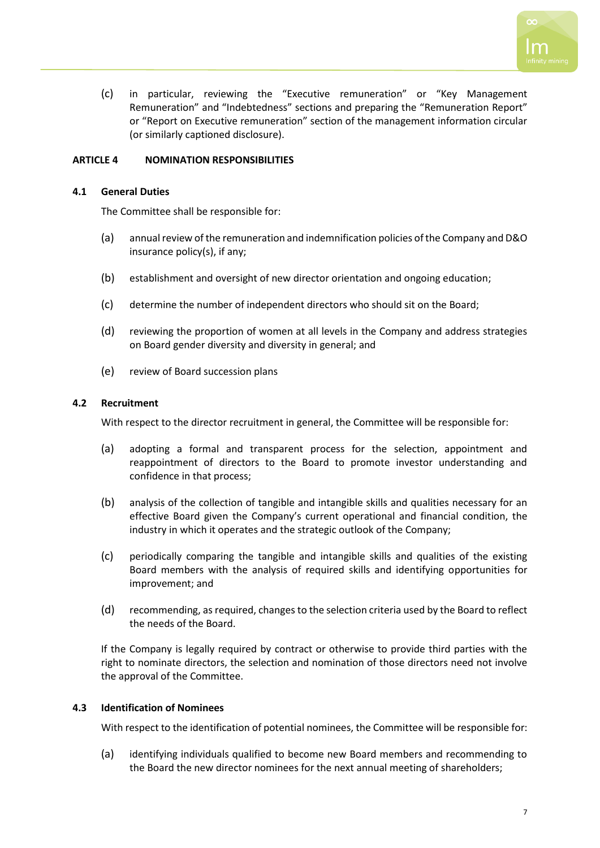

(c) in particular, reviewing the "Executive remuneration" or "Key Management Remuneration" and "Indebtedness" sections and preparing the "Remuneration Report" or "Report on Executive remuneration" section of the management information circular (or similarly captioned disclosure).

# **ARTICLE 4 NOMINATION RESPONSIBILITIES**

## **4.1 General Duties**

The Committee shall be responsible for:

- (a) annual review of the remuneration and indemnification policies of the Company and D&O insurance policy(s), if any;
- (b) establishment and oversight of new director orientation and ongoing education;
- (c) determine the number of independent directors who should sit on the Board;
- (d) reviewing the proportion of women at all levels in the Company and address strategies on Board gender diversity and diversity in general; and
- (e) review of Board succession plans

## **4.2 Recruitment**

With respect to the director recruitment in general, the Committee will be responsible for:

- (a) adopting a formal and transparent process for the selection, appointment and reappointment of directors to the Board to promote investor understanding and confidence in that process;
- (b) analysis of the collection of tangible and intangible skills and qualities necessary for an effective Board given the Company's current operational and financial condition, the industry in which it operates and the strategic outlook of the Company;
- (c) periodically comparing the tangible and intangible skills and qualities of the existing Board members with the analysis of required skills and identifying opportunities for improvement; and
- (d) recommending, as required, changes to the selection criteria used by the Board to reflect the needs of the Board.

If the Company is legally required by contract or otherwise to provide third parties with the right to nominate directors, the selection and nomination of those directors need not involve the approval of the Committee.

## **4.3 Identification of Nominees**

With respect to the identification of potential nominees, the Committee will be responsible for:

(a) identifying individuals qualified to become new Board members and recommending to the Board the new director nominees for the next annual meeting of shareholders;